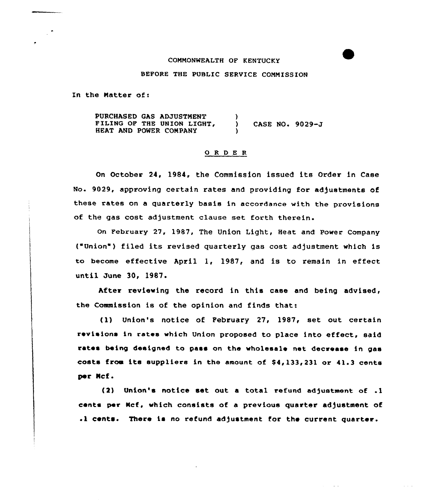# COMMONWEALTH OF KENTUCKY

# BEFORE THE PUBLIC SERVICE CQNNISSION

In the Matter of:

PURCHASED GAS ADJUSTNENT FILING OF THE UNION LIGHT, HEAT AND POWER CONPANY ) ) CASE NO. 9029-J )

# 0 R <sup>D</sup> E <sup>R</sup>

On October 24, 1984, the Commission issued its Order in Case No. 9029, approving certain rates and providing for adjustments of these rates on <sup>a</sup> quarterly basis in accordance with the provisicns of the gas cost adjustment clause set forth therein.

On February 27, 1987, The Union Light, Heat and Power Company ('nion ) filed its revised quarterly gas cost adjustment which is to become effective April 1, 1987, and is to remain in effect until June 30, 1987.

After reviewing the record in this case and being advised, the Commission is of the opinion and finds that:

(1) Union's notice of February 27, 1987, set out certain revisions in rates which Union proposed to place into effect, said rates being designed to pass on the wholesale net decrease in gas costs from its suppliers in the amount of  $$4,133,231$  or  $41.3$  cents per Mcf.

(2) Union's notice set out a total refund adjustment of .1 cents per Kcf, which consists of a previous quarter adjustment of .1 cents. There is no refund adjustment for the current quarter.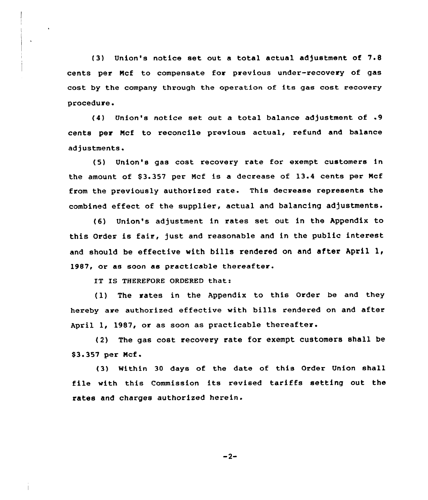{3) Union's notice set out <sup>a</sup> total actual adjustment of 7.8 cents per Mcf to compensate for previous under-recovery of gas cost by the company through the operation of its gas cost recovery procedure.

(4) Union's notice set out <sup>a</sup> total balance adjustment of .9 cents per Ncf to reconcile previous actual, refund and balance adjustments.

{5) Union's gas cost recovery rate for exempt customers in the amount of \$3.357 per Mcf is a decrease of 13.4 cents per Mcf from the previously authorized rate. This decrease represents the combined effect of the supplier, actual and balancing adjustments.

(6) Union's adjustment in rates set out in the Appendix to this Order is fair, just and reasonable and in the public interest and should be effective with bills rendered on and after April  $l_t$ 1987, or as soon as practicable thereafter.

IT IS THEREFORE ORDERED that:

(1) The rates in the Appendix to this Order be and they hereby are authorized effective with bills rendered on and after April 1, 1987, or as soon as practicable thereafter.

{2) The gas cost recovery rate for exempt customers shall be \$3.357 per Mcf.

(3) Within 30 days of the date of this Order Union shall file with this Commission its revised tariffs setting out the rates and charges authorized herein.

 $-2-$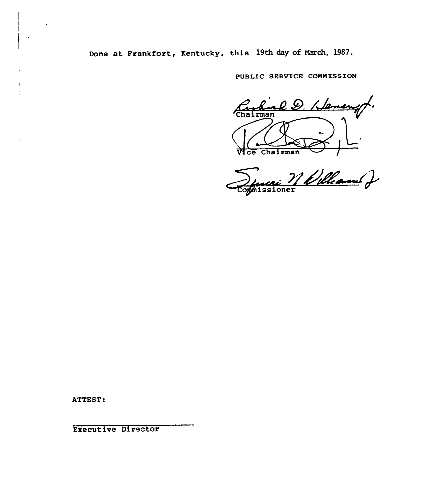Done at Frankfort, Kentucky, this 19th day of March, 1987.

PUBLIC SERVICE COMMISSION

Curling D. Hemanyt. Chairman  $Mce$ 

Denvis Melland

ATTEST:

**Executive Director**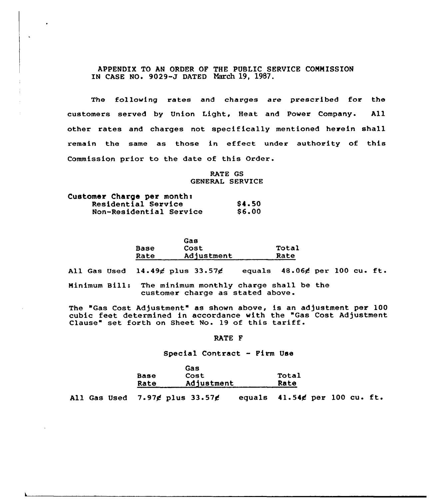APPENDIX TO AN ORDER OF THE PUBLIC SERVICE CONNISSION IN CASE NO. 9029-J DATED March 19, 1987.

The following rates and charges are prescribed for the customers served by Union Light, Heat and Power Company. All other rates and charges not specifically mentioned herein shall remain the same as those in effect under authority of this Commission prior to the date of this Order.

> RATE GS GENERAL SERVICE

| Customer Charge per month: |              |
|----------------------------|--------------|
| Residential Service        | <b>S4.50</b> |
| Non-Residential Service    | <b>S6.00</b> |

|      | Gas        |       |
|------|------------|-------|
| Base | Cost       | Total |
| Rate | Adjustment | Rate  |

All Gas Used  $14.49$  $\not\in$  plus  $33.57\not\in$  equals  $48.06\not\in$  per 100 cu. ft.

Minimum Bill: The minimum monthly charge shall be the customer charge as stated above.

The 'Gas Cost Adjustment" as shown above, is an adjustment per 100 cubic feet determined in accordance with the "Gas Cost Adjustment Clause" set forth on Sheet No. <sup>19</sup> of this tariff.

# RATE F

### Special Contract — Firm Use

|      | Gas        |       |
|------|------------|-------|
| Base | Cost       | Total |
| Rate | Adjustment | Rate  |

All Gas Used 7.97¢ plus 33.57¢ equals 41.54¢ per 100 cu. ft.